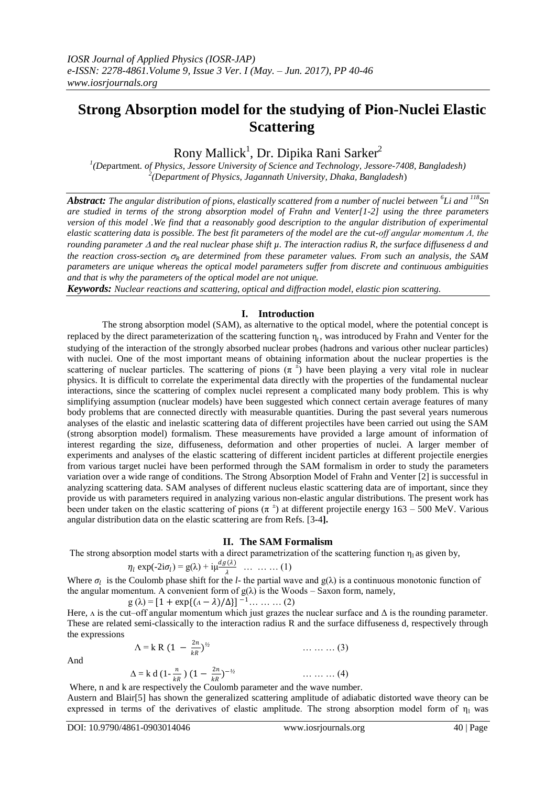# **Strong Absorption model for the studying of Pion-Nuclei Elastic Scattering**

Rony Mallick<sup>1</sup>, Dr. Dipika Rani Sarker<sup>2</sup>

*1 (Dep*artment*. of Physics, Jessore University of Science and Technology, Jessore-7408, Bangladesh) 2 (Department of Physics, Jagannath University, Dhaka, Bangladesh*)

*Abstract: The angular distribution of pions, elastically scattered from a number of nuclei between <sup>6</sup> Li and <sup>118</sup>Sn are studied in terms of the strong absorption model of Frahn and Venter[1-2] using the three parameters version of this model .We find that a reasonably good description to the angular distribution of experimental elastic scattering data is possible. The best fit parameters of the model are the cut-off angular momentum Λ, the rounding parameter and the real nuclear phase shift µ. The interaction radius R, the surface diffuseness d and the reaction cross-section*  $\sigma_R$  *are determined from these parameter values. From such an analysis, the SAM parameters are unique whereas the optical model parameters suffer from discrete and continuous ambiguities and that is why the parameters of the optical model are not unique.*

*Keywords: Nuclear reactions and scattering, optical and diffraction model, elastic pion scattering.*

### **I. Introduction**

The strong absorption model (SAM), as alternative to the optical model, where the potential concept is replaced by the direct parameterization of the scattering function  $\eta_l$ , was introduced by Frahn and Venter for the studying of the interaction of the strongly absorbed nuclear probes (hadrons and various other nuclear particles) with nuclei. One of the most important means of obtaining information about the nuclear properties is the scattering of nuclear particles. The scattering of pions  $(\pi^{\pm})$  have been playing a very vital role in nuclear physics. It is difficult to correlate the experimental data directly with the properties of the fundamental nuclear interactions, since the scattering of complex nuclei represent a complicated many body problem. This is why simplifying assumption (nuclear models) have been suggested which connect certain average features of many body problems that are connected directly with measurable quantities. During the past several years numerous analyses of the elastic and inelastic scattering data of different projectiles have been carried out using the SAM (strong absorption model) formalism. These measurements have provided a large amount of information of interest regarding the size, diffuseness, deformation and other properties of nuclei. A larger member of experiments and analyses of the elastic scattering of different incident particles at different projectile energies from various target nuclei have been performed through the SAM formalism in order to study the parameters variation over a wide range of conditions. The Strong Absorption Model of Frahn and Venter [2] is successful in analyzing scattering data. SAM analyses of different nucleus elastic scattering data are of important, since they provide us with parameters required in analyzing various non-elastic angular distributions. The present work has been under taken on the elastic scattering of pions  $(\pi^{\pm})$  at different projectile energy 163 – 500 MeV. Various angular distribution data on the elastic scattering are from Refs. [3**-**4**].**

#### **II. The SAM Formalism**

The strong absorption model starts with a direct parametrization of the scattering function  $\eta_1$  as given by,

$$
\eta_l \exp(-2\mathrm{i}\sigma_l) = g(\lambda) + \mathrm{i}\mu \frac{dg(\lambda)}{\lambda} \quad \dots \quad \dots \quad (1)
$$

Where  $\sigma_l$  is the Coulomb phase shift for the *l*- the partial wave and  $g(\lambda)$  is a continuous monotonic function of the angular momentum. A convenient form of  $g(\lambda)$  is the Woods – Saxon form, namely,

$$
g(\lambda) = [1 + \exp\{(a - \lambda)/\Delta\}]^{-1} \dots \dots \dots (2)
$$

Here,  $\Lambda$  is the cut–off angular momentum which just grazes the nuclear surface and  $\Delta$  is the rounding parameter. These are related semi-classically to the interaction radius R and the surface diffuseness d, respectively through the expressions

Λ = k R (1 − 2 ) *<sup>½</sup>* … … … (3)

And

$$
\Delta = k d (1 - \frac{n}{kR}) (1 - \frac{2n}{kR})^{-1/2}
$$
 .... ... (4)  
Where, n and k are respectively the Coulomb parameter and the wave number.

Austern and Blair[5] has shown the generalized scattering amplitude of adiabatic distorted wave theory can be expressed in terms of the derivatives of elastic amplitude. The strong absorption model form of  $\eta_1$  was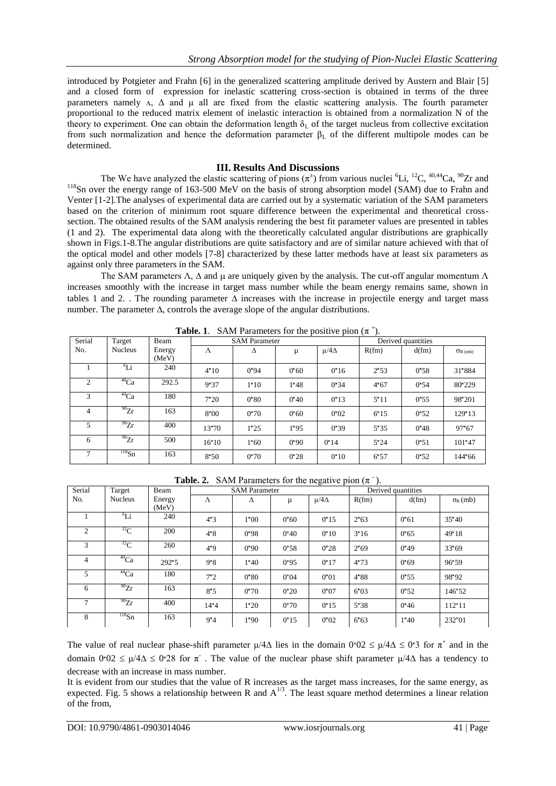introduced by Potgieter and Frahn [6] in the generalized scattering amplitude derived by Austern and Blair [5] and a closed form of expression for inelastic scattering cross-section is obtained in terms of the three parameters namely  $\Lambda$ ,  $\Delta$  and  $\mu$  all are fixed from the elastic scattering analysis. The fourth parameter proportional to the reduced matrix element of inelastic interaction is obtained from a normalization N of the theory to experiment. One can obtain the deformation length  $\delta_L$  of the target nucleus from collective excitation from such normalization and hence the deformation parameter  $β$ <sub>L</sub> of the different multipole modes can be determined.

## **III. Results And Discussions**

The We have analyzed the elastic scattering of pions  $(\pi^{\pm})$  from various nuclei <sup>6</sup>Li, <sup>12</sup>C, <sup>40,44</sup>Ca, <sup>90</sup>Zr and <sup>118</sup>Sn over the energy range of 163-500 MeV on the basis of strong absorption model (SAM) due to Frahn and Venter [1-2].The analyses of experimental data are carried out by a systematic variation of the SAM parameters based on the criterion of minimum root square difference between the experimental and theoretical crosssection. The obtained results of the SAM analysis rendering the best fit parameter values are presented in tables (1 and 2). The experimental data along with the theoretically calculated angular distributions are graphically shown in Figs.1-8.The angular distributions are quite satisfactory and are of similar nature achieved with that of the optical model and other models [7-8] characterized by these latter methods have at least six parameters as against only three parameters in the SAM.

The SAM parameters  $\Lambda$ ,  $\Delta$  and  $\mu$  are uniquely given by the analysis. The cut-off angular momentum  $\Lambda$ increases smoothly with the increase in target mass number while the beam energy remains same, shown in tables 1 and 2. . The rounding parameter  $\Delta$  increases with the increase in projectile energy and target mass number. The parameter  $\Delta$ , controls the average slope of the angular distributions.

| 1000L<br>$\beta$ and the dimensional contract $\beta$ of $\beta$ and $\beta$ |                |        |                      |                 |                 |                 |                    |       |                  |  |
|------------------------------------------------------------------------------|----------------|--------|----------------------|-----------------|-----------------|-----------------|--------------------|-------|------------------|--|
| Serial                                                                       | Target         | Beam   | <b>SAM Parameter</b> |                 |                 |                 | Derived quantities |       |                  |  |
| No.                                                                          | <b>Nucleus</b> | Energy | $\Lambda$            | л               | μ               | $\mu/4\Delta$   | R(fm)              | d(fm) | $\sigma_{R(mb)}$ |  |
|                                                                              |                | (MeV)  |                      |                 |                 |                 |                    |       |                  |  |
|                                                                              | ${}^6Li$       | 240    | $4^{\bullet}10$      | 0'94            | 0'60            | 0'16            | $2^{\bullet}53$    | 0'58  | 31'884           |  |
| 2                                                                            | $^{40}Ca$      | 292.5  | 9'37                 | $1^{\bullet}10$ | 1'38            | 0.34            | 4'67               | 0.54  | $80^{\circ}229$  |  |
| 3                                                                            | $^{44}Ca$      | 180    | 7'20                 | $0^{\circ}80$   | 0'40            | $0^{\bullet}13$ | $5^{\bullet}11$    | 0.55  | $98^{\circ}201$  |  |
| 4                                                                            | $^{90}Zr$      | 163    | 8'00                 | 0'70            | 0'60            | $0^{\bullet}02$ | $6^{\bullet}15$    | 0.52  | 129'13           |  |
| 5                                                                            | $^{90}Zr$      | 400    | 13'70                | $1^{\bullet}25$ | 1'95            | 0.39            | 5.35               | 0'38  | 97'67            |  |
| 6                                                                            | $^{90}Zr$      | 500    | 16'10                | 1'60            | 0.90            | $0^{\bullet}14$ | $5^{\bullet}24$    | 0.51  | $101 - 47$       |  |
| $\mathcal{I}$                                                                | $^{118}Sn$     | 163    | 8:50                 | 0'70            | $0^{\bullet}28$ | $0^{\bullet}10$ | 6:57               | 0.52  | 144'66           |  |

**Table. 1.** SAM Parameters for the positive pion  $(\pi^+)$ .

**Table. 2.** SAM Parameters for the negative pion  $(\pi^{-})$ .

| Serial         | Target         | Beam   | <b>SAM Parameter</b> |                 |                 | Derived quantities |                 |       |                   |
|----------------|----------------|--------|----------------------|-----------------|-----------------|--------------------|-----------------|-------|-------------------|
| No.            | <b>Nucleus</b> | Energy | Λ                    | Δ               | μ               | $\mu/4\Delta$      | R(fm)           | d(fm) | $\sigma_{R}$ (mb) |
|                |                | (MeV)  |                      |                 |                 |                    |                 |       |                   |
|                | $^{6}Li$       | 240    | 4.3                  | $1^{\bullet}00$ | 0'60            | $0^{\bullet}15$    | $2^{\bullet}63$ | 0'61  | 35'40             |
| 2              | $^{12}$ C      | 200    | $4^{\bullet}8$       | 0.98            | 0'40            | $0^{\bullet}10$    | 3'16            | 0.65  | 49'18             |
| 3              | $^{12}$ C      | 260    | 4.9                  | 0'90            | $0^{\bullet}58$ | $0^{\bullet}28$    | 2'69            | 0'49  | 33'69             |
| $\overline{4}$ | $^{40}Ca$      | 292.5  | 9.8                  | 1'40            | 0.95            | $0^{\bullet}17$    | 4'73            | 0'69  | 96'59             |
| 5              | $^{44}Ca$      | 180    | $7^{\bullet}2$       | $0^{\bullet}80$ | $0^{\bullet}04$ | $0^{\bullet}01$    | $4^{\bullet}88$ | 0.55  | 98'92             |
| 6              | $^{90}Zr$      | 163    | 8.5                  | 0'70            | $0^{\bullet}20$ | $0^{\bullet}07$    | 6°03            | 0.52  | 146'52            |
|                | $^{90}Zr$      | 400    | $14 - 4$             | 1'20            | 0'70            | $0^{\bullet}15$    | $5^{\circ}38$   | 0'36  | $112 - 11$        |
| 8              | $^{118}Sn$     | 163    | $9^{\bullet}4$       | 1'90            | $0^{\bullet}15$ | $0^{\bullet}02$    | 6'63            | 1'40  | $232^{\bullet}01$ |

The value of real nuclear phase-shift parameter  $\mu/4\Delta$  lies in the domain  $0.02 \le \mu/4\Delta \le 0.3$  for  $\pi^+$  and in the domain  $0.02 \le \mu/4\Delta \le 0.28$  for  $\pi$ . The value of the nuclear phase shift parameter  $\mu/4\Delta$  has a tendency to decrease with an increase in mass number.

It is evident from our studies that the value of R increases as the target mass increases, for the same energy, as expected. Fig. 5 shows a relationship between R and  $A^{1/3}$ . The least square method determines a linear relation of the from,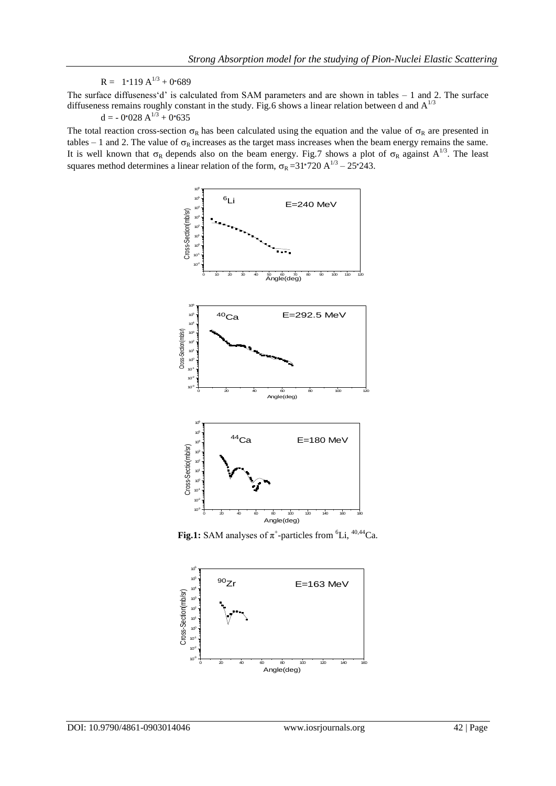$R = 1.119 A^{1/3} + 0.689$ 

The surface diffuseness'd' is calculated from SAM parameters and are shown in tables – 1 and 2. The surface diffuseness remains roughly constant in the study. Fig.6 shows a linear relation between d and  $A^{1/3}$ 

 $d = -0.028 A^{1/3} + 0.635$ 

The total reaction cross-section  $\sigma_R$  has been calculated using the equation and the value of  $\sigma_R$  are presented in tables – 1 and 2. The value of  $\sigma_R$  increases as the target mass increases when the beam energy remains the same. It is well known that  $\sigma_R$  depends also on the beam energy. Fig.7 shows a plot of  $\sigma_R$  against  $A^{1/3}$ . The least squares method determines a linear relation of the form,  $\sigma_R = 31 \cdot 720 \text{ A}^{1/3} - 25 \cdot 243$ .



**Fig.1:** SAM analyses of  $\pi^+$ -particles from <sup>6</sup>Li, <sup>40,44</sup>Ca.

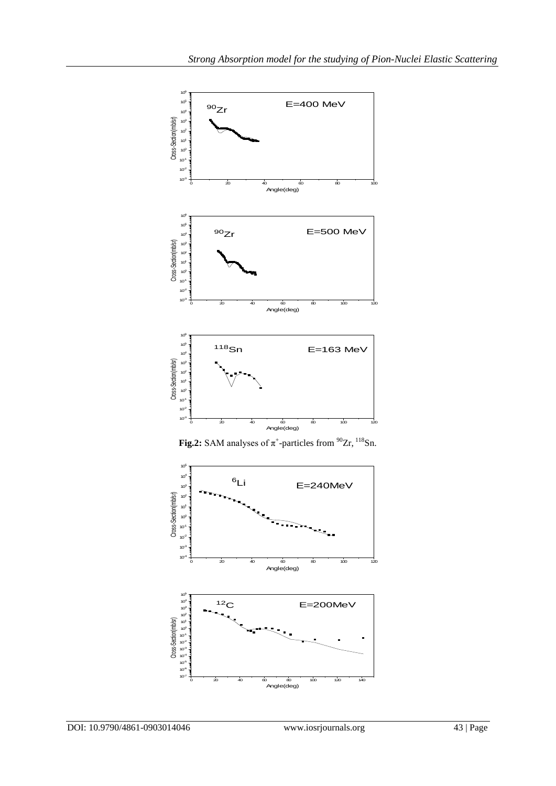

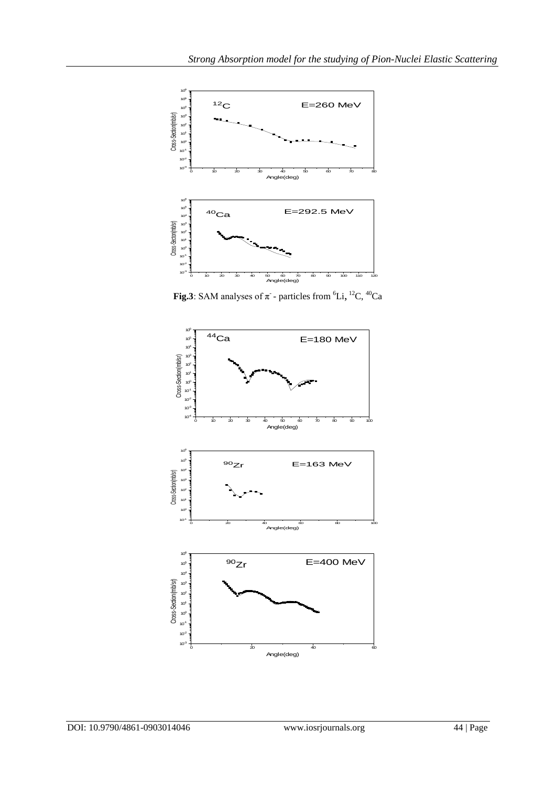

**Fig.3**: SAM analyses of  $\pi$  - particles from <sup>6</sup>Li, <sup>12</sup>C, <sup>40</sup>Ca

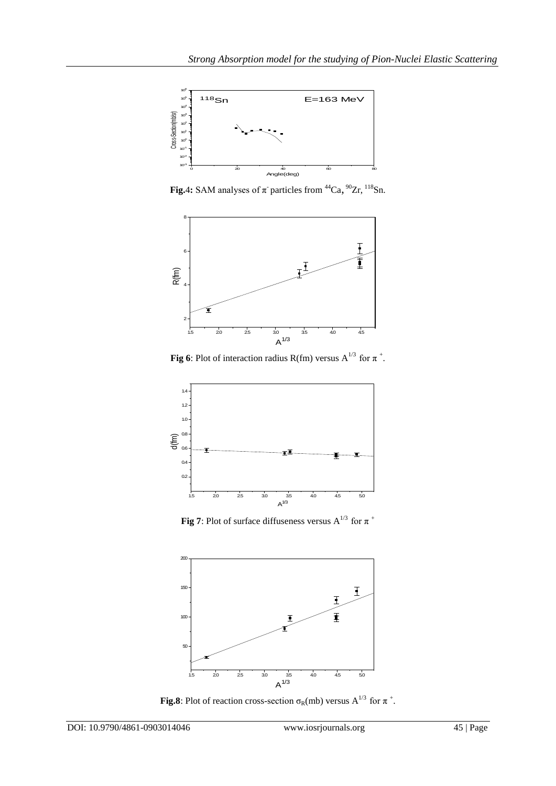

**Fig.4:** SAM analyses of  $\pi$  particles from <sup>44</sup>Ca,  $^{90}Zr$ ,  $^{118}Sn$ .



**Fig 6**: Plot of interaction radius R(fm) versus  $A^{1/3}$  for  $\pi^+$ .



**Fig 7**: Plot of surface diffuseness versus  $A^{1/3}$  for  $\pi$ <sup>+</sup>



**Fig.8**: Plot of reaction cross-section  $\sigma_R(mb)$  versus  $A^{1/3}$  for  $\pi^+$ .